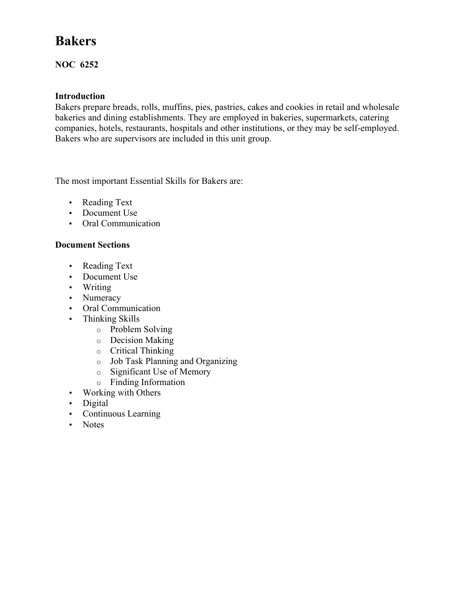# **Bakers**

### **NOC 6252**

### **Introduction**

Bakers prepare breads, rolls, muffins, pies, pastries, cakes and cookies in retail and wholesale bakeries and dining establishments. They are employed in bakeries, supermarkets, catering companies, hotels, restaurants, hospitals and other institutions, or they may be self-employed. Bakers who are supervisors are included in this unit group.

The most important Essential Skills for Bakers are:

- Reading Text
- Document Use
- Oral Communication

#### **Document Sections**

- Reading Text
- Document Use
- Writing
- Numeracy
- Oral Communication
- Thinking Skills
	- o Problem Solving
	- o Decision Making
	- o Critical Thinking
	- o Job Task Planning and Organizing
	- o Significant Use of Memory
	- o Finding Information
- Working with Others
- Digital
- Continuous Learning
- Notes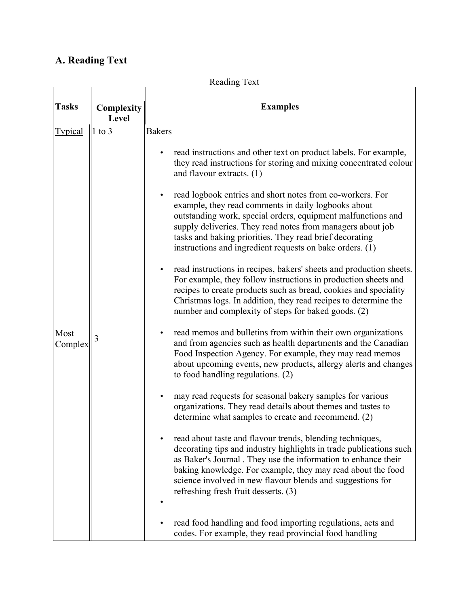# **A. Reading Text**

| <b>Reading Text</b> |                     |                                                                                                                                                                                                                                                                                                                                                                                    |  |  |  |
|---------------------|---------------------|------------------------------------------------------------------------------------------------------------------------------------------------------------------------------------------------------------------------------------------------------------------------------------------------------------------------------------------------------------------------------------|--|--|--|
| <b>Tasks</b>        | Complexity<br>Level | <b>Examples</b>                                                                                                                                                                                                                                                                                                                                                                    |  |  |  |
| <b>Typical</b>      | $ 1 \text{ to } 3$  | <b>Bakers</b>                                                                                                                                                                                                                                                                                                                                                                      |  |  |  |
|                     |                     | read instructions and other text on product labels. For example,<br>٠<br>they read instructions for storing and mixing concentrated colour<br>and flavour extracts. (1)                                                                                                                                                                                                            |  |  |  |
|                     |                     | read logbook entries and short notes from co-workers. For<br>$\bullet$<br>example, they read comments in daily logbooks about<br>outstanding work, special orders, equipment malfunctions and<br>supply deliveries. They read notes from managers about job<br>tasks and baking priorities. They read brief decorating<br>instructions and ingredient requests on bake orders. (1) |  |  |  |
|                     |                     | read instructions in recipes, bakers' sheets and production sheets.<br>٠<br>For example, they follow instructions in production sheets and<br>recipes to create products such as bread, cookies and speciality<br>Christmas logs. In addition, they read recipes to determine the<br>number and complexity of steps for baked goods. (2)                                           |  |  |  |
| Most<br>Complex     | 3                   | read memos and bulletins from within their own organizations<br>٠<br>and from agencies such as health departments and the Canadian<br>Food Inspection Agency. For example, they may read memos<br>about upcoming events, new products, allergy alerts and changes<br>to food handling regulations. (2)                                                                             |  |  |  |
|                     |                     | may read requests for seasonal bakery samples for various<br>organizations. They read details about themes and tastes to<br>determine what samples to create and recommend. (2)                                                                                                                                                                                                    |  |  |  |
|                     |                     | read about taste and flavour trends, blending techniques,<br>decorating tips and industry highlights in trade publications such<br>as Baker's Journal. They use the information to enhance their<br>baking knowledge. For example, they may read about the food<br>science involved in new flavour blends and suggestions for<br>refreshing fresh fruit desserts. (3)              |  |  |  |
|                     |                     | read food handling and food importing regulations, acts and<br>codes. For example, they read provincial food handling                                                                                                                                                                                                                                                              |  |  |  |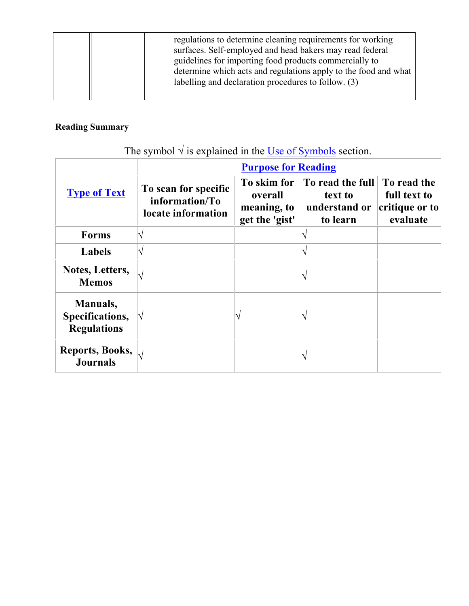|  | regulations to determine cleaning requirements for working<br>surfaces. Self-employed and head bakers may read federal<br>guidelines for importing food products commercially to<br>determine which acts and regulations apply to the food and what<br>labelling and declaration procedures to follow. (3) |
|--|------------------------------------------------------------------------------------------------------------------------------------------------------------------------------------------------------------------------------------------------------------------------------------------------------------|
|--|------------------------------------------------------------------------------------------------------------------------------------------------------------------------------------------------------------------------------------------------------------------------------------------------------------|

# **Reading Summary**

| The symbol $\sqrt{ }$ is explained in the Use of Symbols section. |  |  |  |
|-------------------------------------------------------------------|--|--|--|
|                                                                   |  |  |  |

|                                                       | <b>Purpose for Reading</b>                                   |                                                         |                                                                          |                                                           |  |  |  |
|-------------------------------------------------------|--------------------------------------------------------------|---------------------------------------------------------|--------------------------------------------------------------------------|-----------------------------------------------------------|--|--|--|
| <b>Type of Text</b>                                   | To scan for specific<br>information/To<br>locate information | To skim for<br>overall<br>meaning, to<br>get the 'gist' | $\vert$ To read the full $\vert$<br>text to<br>understand or<br>to learn | To read the<br>full text to<br>critique or to<br>evaluate |  |  |  |
| <b>Forms</b>                                          |                                                              |                                                         |                                                                          |                                                           |  |  |  |
| <b>Labels</b>                                         |                                                              |                                                         |                                                                          |                                                           |  |  |  |
| Notes, Letters,<br><b>Memos</b>                       | N                                                            |                                                         |                                                                          |                                                           |  |  |  |
| Manuals,<br>Specifications,<br><b>Regulations</b>     | $\mathsf N$                                                  |                                                         |                                                                          |                                                           |  |  |  |
| Reports, Books, $\big _{\sqrt{2}}$<br><b>Journals</b> |                                                              |                                                         |                                                                          |                                                           |  |  |  |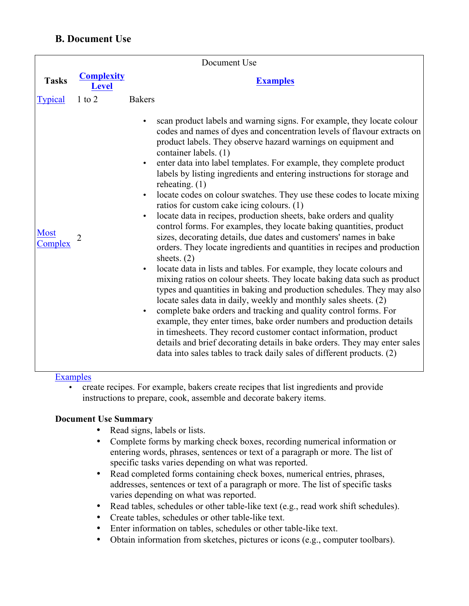## **B. Document Use**

|                        |                                   | Document Use                                                                                                                                                                                                                                                                                                                                                                                                                                                                                                                                                                                                                                                                                                                                                                                                                                                                                                                                                                                                                                                                                                                                                                                                                                                                                                                                                                                                                                                                                                                                                                                                   |
|------------------------|-----------------------------------|----------------------------------------------------------------------------------------------------------------------------------------------------------------------------------------------------------------------------------------------------------------------------------------------------------------------------------------------------------------------------------------------------------------------------------------------------------------------------------------------------------------------------------------------------------------------------------------------------------------------------------------------------------------------------------------------------------------------------------------------------------------------------------------------------------------------------------------------------------------------------------------------------------------------------------------------------------------------------------------------------------------------------------------------------------------------------------------------------------------------------------------------------------------------------------------------------------------------------------------------------------------------------------------------------------------------------------------------------------------------------------------------------------------------------------------------------------------------------------------------------------------------------------------------------------------------------------------------------------------|
| <b>Tasks</b>           | <b>Complexity</b><br><b>Level</b> | <b>Examples</b>                                                                                                                                                                                                                                                                                                                                                                                                                                                                                                                                                                                                                                                                                                                                                                                                                                                                                                                                                                                                                                                                                                                                                                                                                                                                                                                                                                                                                                                                                                                                                                                                |
| <b>Typical</b>         | $1$ to $2$                        | <b>Bakers</b>                                                                                                                                                                                                                                                                                                                                                                                                                                                                                                                                                                                                                                                                                                                                                                                                                                                                                                                                                                                                                                                                                                                                                                                                                                                                                                                                                                                                                                                                                                                                                                                                  |
| <b>Most</b><br>Complex | 2                                 | scan product labels and warning signs. For example, they locate colour<br>$\bullet$<br>codes and names of dyes and concentration levels of flavour extracts on<br>product labels. They observe hazard warnings on equipment and<br>container labels. (1)<br>enter data into label templates. For example, they complete product<br>$\bullet$<br>labels by listing ingredients and entering instructions for storage and<br>reheating. $(1)$<br>locate codes on colour swatches. They use these codes to locate mixing<br>$\bullet$<br>ratios for custom cake icing colours. (1)<br>locate data in recipes, production sheets, bake orders and quality<br>$\bullet$<br>control forms. For examples, they locate baking quantities, product<br>sizes, decorating details, due dates and customers' names in bake<br>orders. They locate ingredients and quantities in recipes and production<br>sheets. $(2)$<br>locate data in lists and tables. For example, they locate colours and<br>$\bullet$<br>mixing ratios on colour sheets. They locate baking data such as product<br>types and quantities in baking and production schedules. They may also<br>locate sales data in daily, weekly and monthly sales sheets. (2)<br>complete bake orders and tracking and quality control forms. For<br>$\bullet$<br>example, they enter times, bake order numbers and production details<br>in timesheets. They record customer contact information, product<br>details and brief decorating details in bake orders. They may enter sales<br>data into sales tables to track daily sales of different products. (2) |

#### Examples

• create recipes. For example, bakers create recipes that list ingredients and provide instructions to prepare, cook, assemble and decorate bakery items.

### **Document Use Summary**

- Read signs, labels or lists.
- Complete forms by marking check boxes, recording numerical information or entering words, phrases, sentences or text of a paragraph or more. The list of specific tasks varies depending on what was reported.
- Read completed forms containing check boxes, numerical entries, phrases, addresses, sentences or text of a paragraph or more. The list of specific tasks varies depending on what was reported.
- Read tables, schedules or other table-like text (e.g., read work shift schedules).
- Create tables, schedules or other table-like text.
- Enter information on tables, schedules or other table-like text.
- Obtain information from sketches, pictures or icons (e.g., computer toolbars).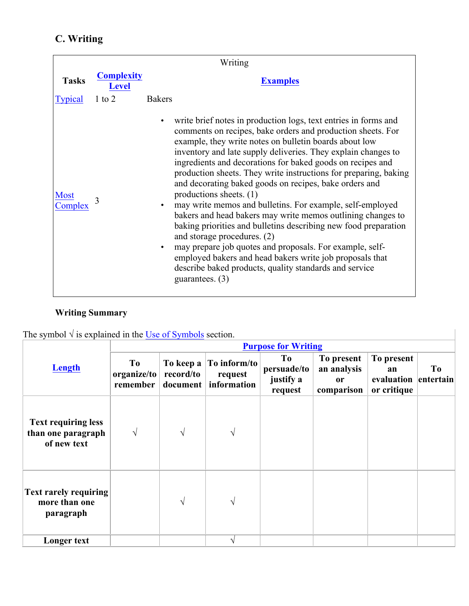# **C. Writing**

|                        | Writing                           |                                                                                                                                                                                                                                                                                                                                                                                                                                                                                                                                                                                                                                                                                                                                                                                                                                                                                                                                    |  |  |  |
|------------------------|-----------------------------------|------------------------------------------------------------------------------------------------------------------------------------------------------------------------------------------------------------------------------------------------------------------------------------------------------------------------------------------------------------------------------------------------------------------------------------------------------------------------------------------------------------------------------------------------------------------------------------------------------------------------------------------------------------------------------------------------------------------------------------------------------------------------------------------------------------------------------------------------------------------------------------------------------------------------------------|--|--|--|
| <b>Tasks</b>           | <b>Complexity</b><br><b>Level</b> | <b>Examples</b>                                                                                                                                                                                                                                                                                                                                                                                                                                                                                                                                                                                                                                                                                                                                                                                                                                                                                                                    |  |  |  |
| <b>Typical</b>         | $1$ to $2$                        | <b>Bakers</b>                                                                                                                                                                                                                                                                                                                                                                                                                                                                                                                                                                                                                                                                                                                                                                                                                                                                                                                      |  |  |  |
| <b>Most</b><br>Complex |                                   | write brief notes in production logs, text entries in forms and<br>comments on recipes, bake orders and production sheets. For<br>example, they write notes on bulletin boards about low<br>inventory and late supply deliveries. They explain changes to<br>ingredients and decorations for baked goods on recipes and<br>production sheets. They write instructions for preparing, baking<br>and decorating baked goods on recipes, bake orders and<br>productions sheets. (1)<br>may write memos and bulletins. For example, self-employed<br>bakers and head bakers may write memos outlining changes to<br>baking priorities and bulletins describing new food preparation<br>and storage procedures. (2)<br>may prepare job quotes and proposals. For example, self-<br>$\bullet$<br>employed bakers and head bakers write job proposals that<br>describe baked products, quality standards and service<br>guarantees. $(3)$ |  |  |  |

# **Writing Summary**

The symbol  $\sqrt{ }$  is explained in the Use of Symbols section.

|                                                                 |                               |           |                                                              | <b>Purpose for Writing</b>                |                                                          |                                                         |    |
|-----------------------------------------------------------------|-------------------------------|-----------|--------------------------------------------------------------|-------------------------------------------|----------------------------------------------------------|---------------------------------------------------------|----|
| Length                                                          | To<br>organize/to<br>remember | record/to | To keep a $ To inform/to$<br>request<br>document information | To<br>persuade/to<br>justify a<br>request | To present<br>an analysis<br><sub>or</sub><br>comparison | To present<br>an<br>evaluation entertain<br>or critique | To |
| <b>Text requiring less</b><br>than one paragraph<br>of new text | $\sqrt{ }$                    | $\sqrt{}$ | $\sqrt{ }$                                                   |                                           |                                                          |                                                         |    |
| <b>Text rarely requiring</b><br>more than one<br>paragraph      |                               | N         | $\sqrt{}$                                                    |                                           |                                                          |                                                         |    |
| Longer text                                                     |                               |           | V                                                            |                                           |                                                          |                                                         |    |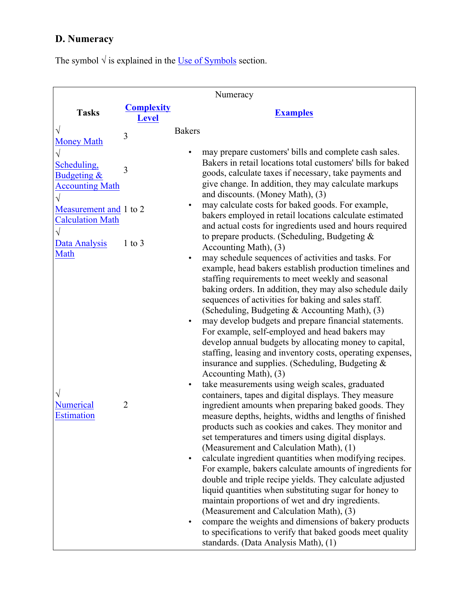# **D. Numeracy**

The symbol  $\sqrt{ }$  is explained in the Use of Symbols section.

|                                                         |                                   | Numeracy                                                                                                                                                                                                                                                                                                                                                                                                                                                                                                                                                                                                                                                                                                                                                                                                                                                                                                                                                                                                                                                                                                                                                                                                                                                                                                                                                                                                                                                                                                                                                                                              |
|---------------------------------------------------------|-----------------------------------|-------------------------------------------------------------------------------------------------------------------------------------------------------------------------------------------------------------------------------------------------------------------------------------------------------------------------------------------------------------------------------------------------------------------------------------------------------------------------------------------------------------------------------------------------------------------------------------------------------------------------------------------------------------------------------------------------------------------------------------------------------------------------------------------------------------------------------------------------------------------------------------------------------------------------------------------------------------------------------------------------------------------------------------------------------------------------------------------------------------------------------------------------------------------------------------------------------------------------------------------------------------------------------------------------------------------------------------------------------------------------------------------------------------------------------------------------------------------------------------------------------------------------------------------------------------------------------------------------------|
| <b>Tasks</b>                                            | <b>Complexity</b><br><b>Level</b> | <b>Examples</b>                                                                                                                                                                                                                                                                                                                                                                                                                                                                                                                                                                                                                                                                                                                                                                                                                                                                                                                                                                                                                                                                                                                                                                                                                                                                                                                                                                                                                                                                                                                                                                                       |
| <b>Money Math</b>                                       | 3                                 | <b>Bakers</b>                                                                                                                                                                                                                                                                                                                                                                                                                                                                                                                                                                                                                                                                                                                                                                                                                                                                                                                                                                                                                                                                                                                                                                                                                                                                                                                                                                                                                                                                                                                                                                                         |
| Scheduling,<br>Budgeting $\&$<br><b>Accounting Math</b> | 3                                 | may prepare customers' bills and complete cash sales.<br>Bakers in retail locations total customers' bills for baked<br>goods, calculate taxes if necessary, take payments and<br>give change. In addition, they may calculate markups<br>and discounts. (Money Math), (3)                                                                                                                                                                                                                                                                                                                                                                                                                                                                                                                                                                                                                                                                                                                                                                                                                                                                                                                                                                                                                                                                                                                                                                                                                                                                                                                            |
| Measurement and 1 to 2<br><b>Calculation Math</b>       |                                   | may calculate costs for baked goods. For example,<br>٠<br>bakers employed in retail locations calculate estimated<br>and actual costs for ingredients used and hours required                                                                                                                                                                                                                                                                                                                                                                                                                                                                                                                                                                                                                                                                                                                                                                                                                                                                                                                                                                                                                                                                                                                                                                                                                                                                                                                                                                                                                         |
| Data Analysis                                           | $1$ to $3$                        | to prepare products. (Scheduling, Budgeting $\&$<br>Accounting Math), (3)                                                                                                                                                                                                                                                                                                                                                                                                                                                                                                                                                                                                                                                                                                                                                                                                                                                                                                                                                                                                                                                                                                                                                                                                                                                                                                                                                                                                                                                                                                                             |
| Math<br><b>Numerical</b><br><b>Estimation</b>           | $\overline{2}$                    | may schedule sequences of activities and tasks. For<br>$\bullet$<br>example, head bakers establish production timelines and<br>staffing requirements to meet weekly and seasonal<br>baking orders. In addition, they may also schedule daily<br>sequences of activities for baking and sales staff.<br>(Scheduling, Budgeting & Accounting Math), (3)<br>may develop budgets and prepare financial statements.<br>$\bullet$<br>For example, self-employed and head bakers may<br>develop annual budgets by allocating money to capital,<br>staffing, leasing and inventory costs, operating expenses,<br>insurance and supplies. (Scheduling, Budgeting &<br>Accounting Math), (3)<br>take measurements using weigh scales, graduated<br>$\bullet$<br>containers, tapes and digital displays. They measure<br>ingredient amounts when preparing baked goods. They<br>measure depths, heights, widths and lengths of finished<br>products such as cookies and cakes. They monitor and<br>set temperatures and timers using digital displays.<br>(Measurement and Calculation Math), (1)<br>calculate ingredient quantities when modifying recipes.<br>٠<br>For example, bakers calculate amounts of ingredients for<br>double and triple recipe yields. They calculate adjusted<br>liquid quantities when substituting sugar for honey to<br>maintain proportions of wet and dry ingredients.<br>(Measurement and Calculation Math), (3)<br>compare the weights and dimensions of bakery products<br>to specifications to verify that baked goods meet quality<br>standards. (Data Analysis Math), (1) |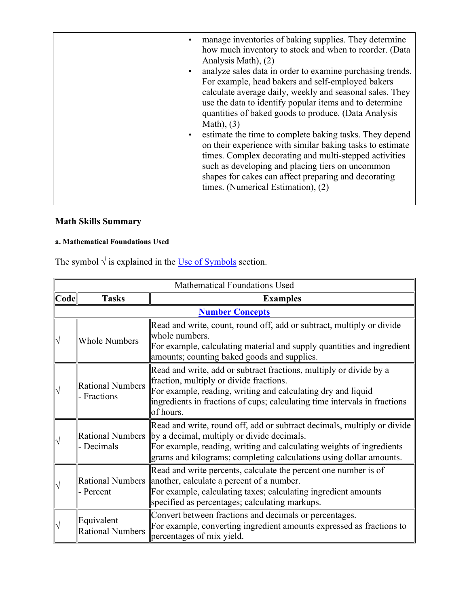| $\bullet$<br>$\bullet$ | manage inventories of baking supplies. They determine<br>how much inventory to stock and when to reorder. (Data<br>Analysis Math), (2)<br>analyze sales data in order to examine purchasing trends.<br>For example, head bakers and self-employed bakers<br>calculate average daily, weekly and seasonal sales. They<br>use the data to identify popular items and to determine<br>quantities of baked goods to produce. (Data Analysis |
|------------------------|-----------------------------------------------------------------------------------------------------------------------------------------------------------------------------------------------------------------------------------------------------------------------------------------------------------------------------------------------------------------------------------------------------------------------------------------|
| $\bullet$              | Math), $(3)$<br>estimate the time to complete baking tasks. They depend<br>on their experience with similar baking tasks to estimate<br>times. Complex decorating and multi-stepped activities<br>such as developing and placing tiers on uncommon<br>shapes for cakes can affect preparing and decorating<br>times. (Numerical Estimation), (2)                                                                                        |

# **Math Skills Summary**

## **a. Mathematical Foundations Used**

The symbol  $\sqrt{ }$  is explained in the <u>Use of Symbols</u> section.

|      | Mathematical Foundations Used          |                                                                                                                                                                                                                                                                                        |  |  |  |
|------|----------------------------------------|----------------------------------------------------------------------------------------------------------------------------------------------------------------------------------------------------------------------------------------------------------------------------------------|--|--|--|
| Code | <b>Tasks</b>                           | <b>Examples</b>                                                                                                                                                                                                                                                                        |  |  |  |
|      |                                        | <b>Number Concepts</b>                                                                                                                                                                                                                                                                 |  |  |  |
|      | <b>Whole Numbers</b>                   | Read and write, count, round off, add or subtract, multiply or divide<br>whole numbers.<br>For example, calculating material and supply quantities and ingredient<br>amounts; counting baked goods and supplies.                                                                       |  |  |  |
|      | <b>Rational Numbers</b><br>- Fractions | Read and write, add or subtract fractions, multiply or divide by a<br>fraction, multiply or divide fractions.<br>For example, reading, writing and calculating dry and liquid<br>ingredients in fractions of cups; calculating time intervals in fractions<br>of hours.                |  |  |  |
|      | - Decimals                             | Read and write, round off, add or subtract decimals, multiply or divide<br>Rational Numbers   by a decimal, multiply or divide decimals.<br>For example, reading, writing and calculating weights of ingredients<br>grams and kilograms; completing calculations using dollar amounts. |  |  |  |
|      | - Percent                              | Read and write percents, calculate the percent one number is of<br>Rational Numbers   another, calculate a percent of a number.<br>For example, calculating taxes; calculating ingredient amounts<br>specified as percentages; calculating markups.                                    |  |  |  |
|      | Equivalent<br><b>Rational Numbers</b>  | Convert between fractions and decimals or percentages.<br>For example, converting ingredient amounts expressed as fractions to<br>percentages of mix yield.                                                                                                                            |  |  |  |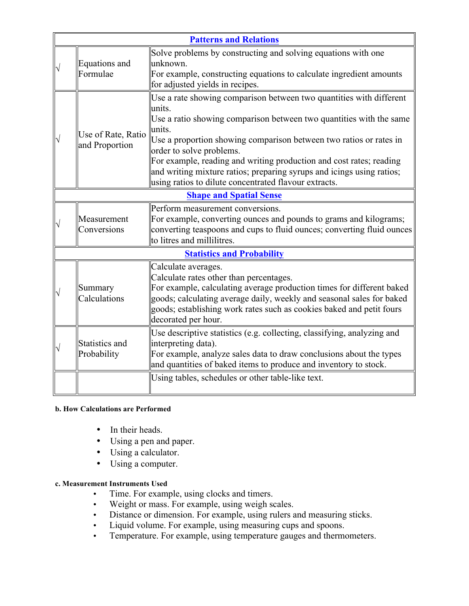|                                      | <b>Patterns and Relations</b>                                                                                                                                                                                                                                                                                                                                                                                                                                             |
|--------------------------------------|---------------------------------------------------------------------------------------------------------------------------------------------------------------------------------------------------------------------------------------------------------------------------------------------------------------------------------------------------------------------------------------------------------------------------------------------------------------------------|
| Equations and<br>Formulae            | Solve problems by constructing and solving equations with one<br>unknown.<br>For example, constructing equations to calculate ingredient amounts<br>for adjusted yields in recipes.                                                                                                                                                                                                                                                                                       |
| Use of Rate, Ratio<br>and Proportion | Use a rate showing comparison between two quantities with different<br>units.<br>Use a ratio showing comparison between two quantities with the same<br>units.<br>Use a proportion showing comparison between two ratios or rates in<br>order to solve problems.<br>For example, reading and writing production and cost rates; reading<br>and writing mixture ratios; preparing syrups and icings using ratios;<br>using ratios to dilute concentrated flavour extracts. |
|                                      | <b>Shape and Spatial Sense</b>                                                                                                                                                                                                                                                                                                                                                                                                                                            |
| Measurement<br>Conversions           | Perform measurement conversions.<br>For example, converting ounces and pounds to grams and kilograms;<br>converting teaspoons and cups to fluid ounces; converting fluid ounces<br>to litres and millilitres.                                                                                                                                                                                                                                                             |
|                                      | <b>Statistics and Probability</b>                                                                                                                                                                                                                                                                                                                                                                                                                                         |
| Summary<br>Calculations              | Calculate averages.<br>Calculate rates other than percentages.<br>For example, calculating average production times for different baked<br>goods; calculating average daily, weekly and seasonal sales for baked<br>goods; establishing work rates such as cookies baked and petit fours<br>decorated per hour.                                                                                                                                                           |
| Statistics and<br>Probability        | Use descriptive statistics (e.g. collecting, classifying, analyzing and<br>interpreting data).<br>For example, analyze sales data to draw conclusions about the types<br>and quantities of baked items to produce and inventory to stock.<br>Using tables, schedules or other table-like text.                                                                                                                                                                            |
|                                      |                                                                                                                                                                                                                                                                                                                                                                                                                                                                           |

### **b. How Calculations are Performed**

- In their heads.
- Using a pen and paper.
- Using a calculator.
- Using a computer.

#### **c. Measurement Instruments Used**

- Time. For example, using clocks and timers.
- Weight or mass. For example, using weigh scales.
- Distance or dimension. For example, using rulers and measuring sticks.
- Liquid volume. For example, using measuring cups and spoons.
- Temperature. For example, using temperature gauges and thermometers.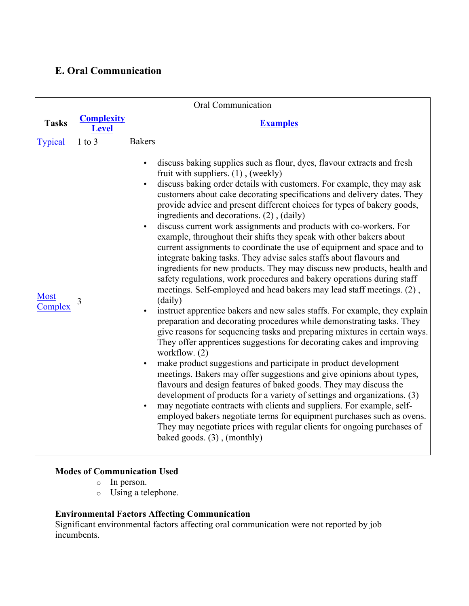## **E. Oral Communication**

| Oral Communication     |                                   |                                                                                                                                                                                                                                                                                                                                                                                                                                                                                                                                                                                                                                                                                                                                                                                                                                                                                                                                                                                                                                                                                                                                                                                                                                                                                                                                                                                                                                                                                                                                                                                                                                                                                                                                                                                                                                                          |  |  |
|------------------------|-----------------------------------|----------------------------------------------------------------------------------------------------------------------------------------------------------------------------------------------------------------------------------------------------------------------------------------------------------------------------------------------------------------------------------------------------------------------------------------------------------------------------------------------------------------------------------------------------------------------------------------------------------------------------------------------------------------------------------------------------------------------------------------------------------------------------------------------------------------------------------------------------------------------------------------------------------------------------------------------------------------------------------------------------------------------------------------------------------------------------------------------------------------------------------------------------------------------------------------------------------------------------------------------------------------------------------------------------------------------------------------------------------------------------------------------------------------------------------------------------------------------------------------------------------------------------------------------------------------------------------------------------------------------------------------------------------------------------------------------------------------------------------------------------------------------------------------------------------------------------------------------------------|--|--|
| <b>Tasks</b>           | <b>Complexity</b><br><b>Level</b> | <b>Examples</b>                                                                                                                                                                                                                                                                                                                                                                                                                                                                                                                                                                                                                                                                                                                                                                                                                                                                                                                                                                                                                                                                                                                                                                                                                                                                                                                                                                                                                                                                                                                                                                                                                                                                                                                                                                                                                                          |  |  |
| <b>Typical</b>         | $1$ to $3$                        | <b>Bakers</b>                                                                                                                                                                                                                                                                                                                                                                                                                                                                                                                                                                                                                                                                                                                                                                                                                                                                                                                                                                                                                                                                                                                                                                                                                                                                                                                                                                                                                                                                                                                                                                                                                                                                                                                                                                                                                                            |  |  |
| <b>Most</b><br>Complex | 3                                 | discuss baking supplies such as flour, dyes, flavour extracts and fresh<br>$\bullet$<br>fruit with suppliers. (1), (weekly)<br>discuss baking order details with customers. For example, they may ask<br>customers about cake decorating specifications and delivery dates. They<br>provide advice and present different choices for types of bakery goods,<br>ingredients and decorations. (2), (daily)<br>discuss current work assignments and products with co-workers. For<br>example, throughout their shifts they speak with other bakers about<br>current assignments to coordinate the use of equipment and space and to<br>integrate baking tasks. They advise sales staffs about flavours and<br>ingredients for new products. They may discuss new products, health and<br>safety regulations, work procedures and bakery operations during staff<br>meetings. Self-employed and head bakers may lead staff meetings. (2),<br>(daily)<br>instruct apprentice bakers and new sales staffs. For example, they explain<br>preparation and decorating procedures while demonstrating tasks. They<br>give reasons for sequencing tasks and preparing mixtures in certain ways.<br>They offer apprentices suggestions for decorating cakes and improving<br>workflow. $(2)$<br>make product suggestions and participate in product development<br>meetings. Bakers may offer suggestions and give opinions about types,<br>flavours and design features of baked goods. They may discuss the<br>development of products for a variety of settings and organizations. (3)<br>may negotiate contracts with clients and suppliers. For example, self-<br>$\bullet$<br>employed bakers negotiate terms for equipment purchases such as ovens.<br>They may negotiate prices with regular clients for ongoing purchases of<br>baked goods. (3), (monthly) |  |  |

## **Modes of Communication Used**

- o In person.
- o Using a telephone.

### **Environmental Factors Affecting Communication**

Significant environmental factors affecting oral communication were not reported by job incumbents.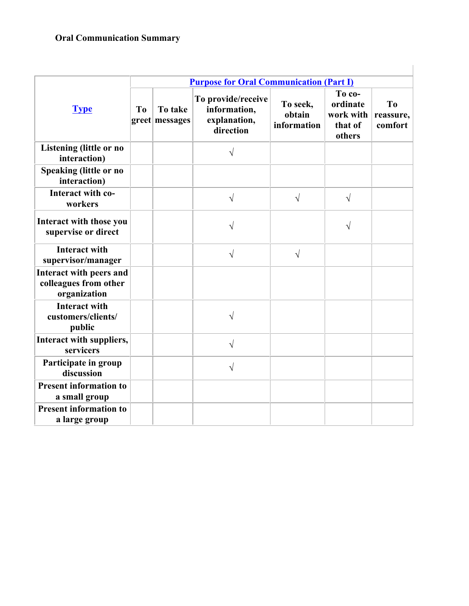## **Oral Communication Summary**

|                                                                         | <b>Purpose for Oral Communication (Part I)</b> |                           |                                                                 |                                   |                                                      |                                        |  |
|-------------------------------------------------------------------------|------------------------------------------------|---------------------------|-----------------------------------------------------------------|-----------------------------------|------------------------------------------------------|----------------------------------------|--|
| <b>Type</b>                                                             | T <sub>0</sub>                                 | To take<br>greet messages | To provide/receive<br>information,<br>explanation,<br>direction | To seek,<br>obtain<br>information | To co-<br>ordinate<br>work with<br>that of<br>others | T <sub>0</sub><br>reassure,<br>comfort |  |
| <b>Listening (little or no</b><br>interaction)                          |                                                |                           | $\sqrt{ }$                                                      |                                   |                                                      |                                        |  |
| <b>Speaking (little or no</b><br>interaction)                           |                                                |                           |                                                                 |                                   |                                                      |                                        |  |
| Interact with co-<br>workers                                            |                                                |                           | $\sqrt{ }$                                                      | $\sqrt{ }$                        | $\sqrt{ }$                                           |                                        |  |
| Interact with those you<br>supervise or direct                          |                                                |                           | $\sqrt{}$                                                       |                                   | V                                                    |                                        |  |
| <b>Interact with</b><br>supervisor/manager                              |                                                |                           | $\sqrt{}$                                                       | $\sqrt{}$                         |                                                      |                                        |  |
| <b>Interact with peers and</b><br>colleagues from other<br>organization |                                                |                           |                                                                 |                                   |                                                      |                                        |  |
| <b>Interact with</b><br>customers/clients/<br>public                    |                                                |                           | $\sqrt{}$                                                       |                                   |                                                      |                                        |  |
| Interact with suppliers,<br>servicers                                   |                                                |                           | $\sqrt{}$                                                       |                                   |                                                      |                                        |  |
| Participate in group<br>discussion                                      |                                                |                           | $\sqrt{}$                                                       |                                   |                                                      |                                        |  |
| <b>Present information to</b><br>a small group                          |                                                |                           |                                                                 |                                   |                                                      |                                        |  |
| <b>Present information to</b><br>a large group                          |                                                |                           |                                                                 |                                   |                                                      |                                        |  |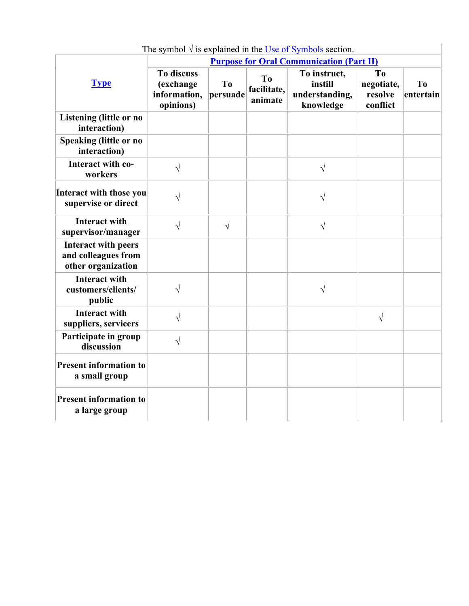|                                                                         | <b>Purpose for Oral Communication (Part II)</b>             |                            |                                          |                                                        |                                                     |                             |  |
|-------------------------------------------------------------------------|-------------------------------------------------------------|----------------------------|------------------------------------------|--------------------------------------------------------|-----------------------------------------------------|-----------------------------|--|
| <b>Type</b>                                                             | <b>To discuss</b><br>(exchange<br>information,<br>opinions) | T <sub>0</sub><br>persuade | T <sub>o</sub><br>facilitate,<br>animate | To instruct,<br>instill<br>understanding,<br>knowledge | T <sub>0</sub><br>negotiate,<br>resolve<br>conflict | T <sub>o</sub><br>entertain |  |
| <b>Listening (little or no</b><br>interaction)                          |                                                             |                            |                                          |                                                        |                                                     |                             |  |
| <b>Speaking (little or no</b><br>interaction)                           |                                                             |                            |                                          |                                                        |                                                     |                             |  |
| Interact with co-<br>workers                                            | $\sqrt{ }$                                                  |                            |                                          | $\sqrt{}$                                              |                                                     |                             |  |
| <b>Interact with those you</b><br>supervise or direct                   |                                                             |                            |                                          | V                                                      |                                                     |                             |  |
| <b>Interact with</b><br>supervisor/manager                              | $\sqrt{}$                                                   | $\sqrt{ }$                 |                                          | V                                                      |                                                     |                             |  |
| <b>Interact with peers</b><br>and colleagues from<br>other organization |                                                             |                            |                                          |                                                        |                                                     |                             |  |
| <b>Interact with</b><br>customers/clients/<br>public                    | $\sqrt{}$                                                   |                            |                                          | $\sqrt{}$                                              |                                                     |                             |  |
| <b>Interact with</b><br>suppliers, servicers                            | $\sqrt{}$                                                   |                            |                                          |                                                        | $\sqrt{ }$                                          |                             |  |
| Participate in group<br>discussion                                      | $\sqrt{ }$                                                  |                            |                                          |                                                        |                                                     |                             |  |
| <b>Present information to</b><br>a small group                          |                                                             |                            |                                          |                                                        |                                                     |                             |  |
| <b>Present information to</b><br>a large group                          |                                                             |                            |                                          |                                                        |                                                     |                             |  |

The symbol  $\sqrt{ }$  is explained in the Use of Symbols section.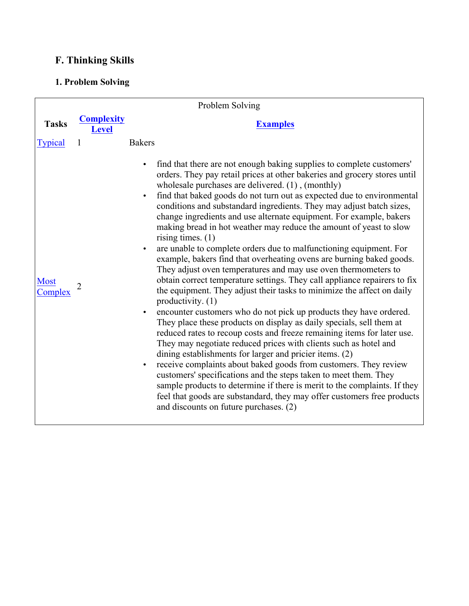# **F. Thinking Skills**

## **1. Problem Solving**

| Problem Solving        |                                   |                                                                                                                                                                                                                                                                                                                                                                                                                                                                                                                                                                                                                                                                                                                                                                                                                                                                                                                                                                                                                                                                                                                                                                                                                                                                                                                                                                                                                                                                                                                                                                                                                                                                                 |  |
|------------------------|-----------------------------------|---------------------------------------------------------------------------------------------------------------------------------------------------------------------------------------------------------------------------------------------------------------------------------------------------------------------------------------------------------------------------------------------------------------------------------------------------------------------------------------------------------------------------------------------------------------------------------------------------------------------------------------------------------------------------------------------------------------------------------------------------------------------------------------------------------------------------------------------------------------------------------------------------------------------------------------------------------------------------------------------------------------------------------------------------------------------------------------------------------------------------------------------------------------------------------------------------------------------------------------------------------------------------------------------------------------------------------------------------------------------------------------------------------------------------------------------------------------------------------------------------------------------------------------------------------------------------------------------------------------------------------------------------------------------------------|--|
| <b>Tasks</b>           | <b>Complexity</b><br><b>Level</b> | <b>Examples</b>                                                                                                                                                                                                                                                                                                                                                                                                                                                                                                                                                                                                                                                                                                                                                                                                                                                                                                                                                                                                                                                                                                                                                                                                                                                                                                                                                                                                                                                                                                                                                                                                                                                                 |  |
| <b>Typical</b>         | 1                                 | <b>Bakers</b>                                                                                                                                                                                                                                                                                                                                                                                                                                                                                                                                                                                                                                                                                                                                                                                                                                                                                                                                                                                                                                                                                                                                                                                                                                                                                                                                                                                                                                                                                                                                                                                                                                                                   |  |
| <b>Most</b><br>Complex | $\overline{2}$                    | find that there are not enough baking supplies to complete customers'<br>orders. They pay retail prices at other bakeries and grocery stores until<br>wholesale purchases are delivered. (1), (monthly)<br>find that baked goods do not turn out as expected due to environmental<br>$\bullet$<br>conditions and substandard ingredients. They may adjust batch sizes,<br>change ingredients and use alternate equipment. For example, bakers<br>making bread in hot weather may reduce the amount of yeast to slow<br>rising times. $(1)$<br>are unable to complete orders due to malfunctioning equipment. For<br>$\bullet$<br>example, bakers find that overheating ovens are burning baked goods.<br>They adjust oven temperatures and may use oven thermometers to<br>obtain correct temperature settings. They call appliance repairers to fix<br>the equipment. They adjust their tasks to minimize the affect on daily<br>productivity. (1)<br>encounter customers who do not pick up products they have ordered.<br>$\bullet$<br>They place these products on display as daily specials, sell them at<br>reduced rates to recoup costs and freeze remaining items for later use.<br>They may negotiate reduced prices with clients such as hotel and<br>dining establishments for larger and pricier items. (2)<br>receive complaints about baked goods from customers. They review<br>$\bullet$<br>customers' specifications and the steps taken to meet them. They<br>sample products to determine if there is merit to the complaints. If they<br>feel that goods are substandard, they may offer customers free products<br>and discounts on future purchases. (2) |  |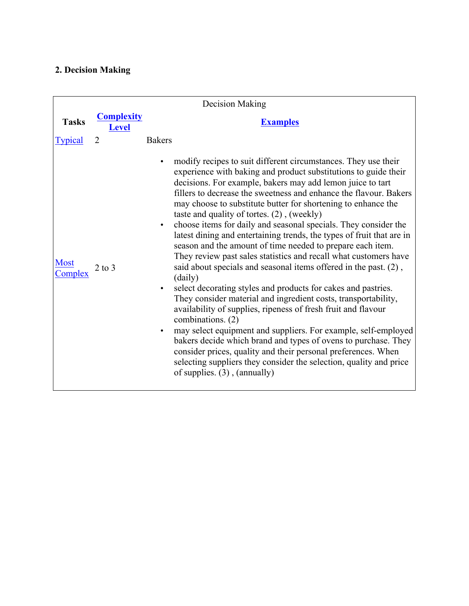# **2. Decision Making**

|                        |                                   | Decision Making                                                                                                                                                                                                                                                                                                                                                                                                                                                                                                                                                                                                                                                                                                                                                                                                                                                                                                                                                                                                                                                                                                                                                                                                                                                                                           |
|------------------------|-----------------------------------|-----------------------------------------------------------------------------------------------------------------------------------------------------------------------------------------------------------------------------------------------------------------------------------------------------------------------------------------------------------------------------------------------------------------------------------------------------------------------------------------------------------------------------------------------------------------------------------------------------------------------------------------------------------------------------------------------------------------------------------------------------------------------------------------------------------------------------------------------------------------------------------------------------------------------------------------------------------------------------------------------------------------------------------------------------------------------------------------------------------------------------------------------------------------------------------------------------------------------------------------------------------------------------------------------------------|
| <b>Tasks</b>           | <b>Complexity</b><br><b>Level</b> | <b>Examples</b>                                                                                                                                                                                                                                                                                                                                                                                                                                                                                                                                                                                                                                                                                                                                                                                                                                                                                                                                                                                                                                                                                                                                                                                                                                                                                           |
| <b>Typical</b>         | 2                                 | <b>Bakers</b>                                                                                                                                                                                                                                                                                                                                                                                                                                                                                                                                                                                                                                                                                                                                                                                                                                                                                                                                                                                                                                                                                                                                                                                                                                                                                             |
| <b>Most</b><br>Complex | $2$ to $3$                        | modify recipes to suit different circumstances. They use their<br>experience with baking and product substitutions to guide their<br>decisions. For example, bakers may add lemon juice to tart<br>fillers to decrease the sweetness and enhance the flavour. Bakers<br>may choose to substitute butter for shortening to enhance the<br>taste and quality of tortes. $(2)$ , (weekly)<br>choose items for daily and seasonal specials. They consider the<br>latest dining and entertaining trends, the types of fruit that are in<br>season and the amount of time needed to prepare each item.<br>They review past sales statistics and recall what customers have<br>said about specials and seasonal items offered in the past. (2),<br>(daily)<br>select decorating styles and products for cakes and pastries.<br>They consider material and ingredient costs, transportability,<br>availability of supplies, ripeness of fresh fruit and flavour<br>combinations. (2)<br>may select equipment and suppliers. For example, self-employed<br>$\bullet$<br>bakers decide which brand and types of ovens to purchase. They<br>consider prices, quality and their personal preferences. When<br>selecting suppliers they consider the selection, quality and price<br>of supplies. $(3)$ , $(annually)$ |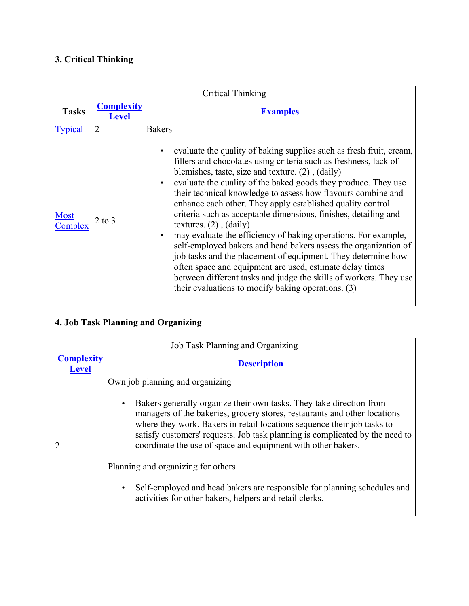## **3. Critical Thinking**

| Critical Thinking      |                                   |                                                                                                                                                                                                                                                                                                                                                                                                                                                                                                                                                                                                                                                                                                                                                                                                                                                                                                                                       |  |
|------------------------|-----------------------------------|---------------------------------------------------------------------------------------------------------------------------------------------------------------------------------------------------------------------------------------------------------------------------------------------------------------------------------------------------------------------------------------------------------------------------------------------------------------------------------------------------------------------------------------------------------------------------------------------------------------------------------------------------------------------------------------------------------------------------------------------------------------------------------------------------------------------------------------------------------------------------------------------------------------------------------------|--|
| <b>Tasks</b>           | <b>Complexity</b><br><b>Level</b> | <b>Examples</b>                                                                                                                                                                                                                                                                                                                                                                                                                                                                                                                                                                                                                                                                                                                                                                                                                                                                                                                       |  |
| <b>Typical</b>         |                                   | <b>Bakers</b>                                                                                                                                                                                                                                                                                                                                                                                                                                                                                                                                                                                                                                                                                                                                                                                                                                                                                                                         |  |
| <b>Most</b><br>Complex | $2$ to $3$                        | evaluate the quality of baking supplies such as fresh fruit, cream,<br>$\bullet$<br>fillers and chocolates using criteria such as freshness, lack of<br>blemishes, taste, size and texture. $(2)$ , $(daily)$<br>evaluate the quality of the baked goods they produce. They use<br>$\bullet$<br>their technical knowledge to assess how flavours combine and<br>enhance each other. They apply established quality control<br>criteria such as acceptable dimensions, finishes, detailing and<br>textures. $(2)$ , $(daily)$<br>may evaluate the efficiency of baking operations. For example,<br>$\bullet$<br>self-employed bakers and head bakers assess the organization of<br>job tasks and the placement of equipment. They determine how<br>often space and equipment are used, estimate delay times<br>between different tasks and judge the skills of workers. They use<br>their evaluations to modify baking operations. (3) |  |

# **4. Job Task Planning and Organizing**

|                                   | Job Task Planning and Organizing                                                                                                                                                                                                                                                                                                                                                         |
|-----------------------------------|------------------------------------------------------------------------------------------------------------------------------------------------------------------------------------------------------------------------------------------------------------------------------------------------------------------------------------------------------------------------------------------|
| <b>Complexity</b><br><b>Level</b> | <b>Description</b>                                                                                                                                                                                                                                                                                                                                                                       |
|                                   | Own job planning and organizing                                                                                                                                                                                                                                                                                                                                                          |
|                                   | Bakers generally organize their own tasks. They take direction from<br>$\bullet$<br>managers of the bakeries, grocery stores, restaurants and other locations<br>where they work. Bakers in retail locations sequence their job tasks to<br>satisfy customers' requests. Job task planning is complicated by the need to<br>coordinate the use of space and equipment with other bakers. |
|                                   | Planning and organizing for others                                                                                                                                                                                                                                                                                                                                                       |
|                                   | Self-employed and head bakers are responsible for planning schedules and<br>$\bullet$<br>activities for other bakers, helpers and retail clerks.                                                                                                                                                                                                                                         |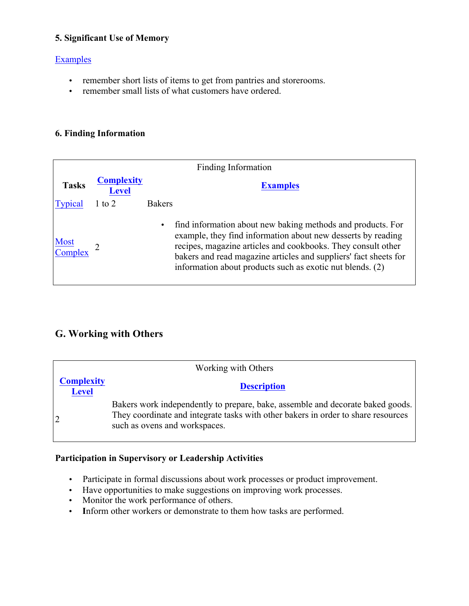### **5. Significant Use of Memory**

### Examples

- remember short lists of items to get from pantries and storerooms.
- remember small lists of what customers have ordered.

### **6. Finding Information**

| Finding Information    |                                   |                                                                                                                                                                                                                                                                                                                                           |  |
|------------------------|-----------------------------------|-------------------------------------------------------------------------------------------------------------------------------------------------------------------------------------------------------------------------------------------------------------------------------------------------------------------------------------------|--|
| <b>Tasks</b>           | <b>Complexity</b><br><b>Level</b> | <b>Examples</b>                                                                                                                                                                                                                                                                                                                           |  |
| <b>Typical</b>         | $1$ to $2$                        | <b>Bakers</b>                                                                                                                                                                                                                                                                                                                             |  |
| <b>Most</b><br>Complex |                                   | find information about new baking methods and products. For<br>$\bullet$<br>example, they find information about new desserts by reading<br>recipes, magazine articles and cookbooks. They consult other<br>bakers and read magazine articles and suppliers' fact sheets for<br>information about products such as exotic nut blends. (2) |  |

## **G. Working with Others**

| Working with Others               |                                                                                                                                                                                                      |  |  |  |
|-----------------------------------|------------------------------------------------------------------------------------------------------------------------------------------------------------------------------------------------------|--|--|--|
| <b>Complexity</b><br><b>Level</b> | <b>Description</b>                                                                                                                                                                                   |  |  |  |
|                                   | Bakers work independently to prepare, bake, assemble and decorate baked goods.<br>They coordinate and integrate tasks with other bakers in order to share resources<br>such as ovens and workspaces. |  |  |  |

### **Participation in Supervisory or Leadership Activities**

- Participate in formal discussions about work processes or product improvement.
- Have opportunities to make suggestions on improving work processes.
- Monitor the work performance of others.
- **I**nform other workers or demonstrate to them how tasks are performed.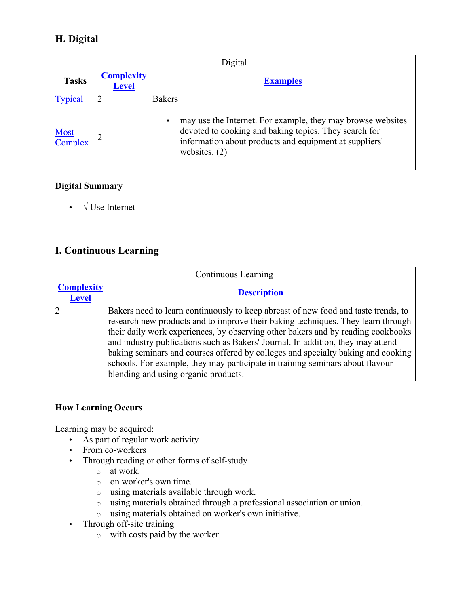## **H. Digital**

| Digital                |                                   |                                                                                                                                                                                                                |  |  |
|------------------------|-----------------------------------|----------------------------------------------------------------------------------------------------------------------------------------------------------------------------------------------------------------|--|--|
| <b>Tasks</b>           | <b>Complexity</b><br><b>Level</b> | <b>Examples</b>                                                                                                                                                                                                |  |  |
| Typical                |                                   | <b>Bakers</b>                                                                                                                                                                                                  |  |  |
| <b>Most</b><br>Complex |                                   | may use the Internet. For example, they may browse websites<br>$\bullet$<br>devoted to cooking and baking topics. They search for<br>information about products and equipment at suppliers'<br>websites. $(2)$ |  |  |

### **Digital Summary**

• **√** Use Internet

## **I. Continuous Learning**

|                                   | Continuous Learning                                                                                                                                                                                                                                                                                                                                                                                                                                                                                                                                        |
|-----------------------------------|------------------------------------------------------------------------------------------------------------------------------------------------------------------------------------------------------------------------------------------------------------------------------------------------------------------------------------------------------------------------------------------------------------------------------------------------------------------------------------------------------------------------------------------------------------|
| <b>Complexity</b><br><b>Level</b> | <b>Description</b>                                                                                                                                                                                                                                                                                                                                                                                                                                                                                                                                         |
|                                   | Bakers need to learn continuously to keep abreast of new food and taste trends, to<br>research new products and to improve their baking techniques. They learn through<br>their daily work experiences, by observing other bakers and by reading cookbooks<br>and industry publications such as Bakers' Journal. In addition, they may attend<br>baking seminars and courses offered by colleges and specialty baking and cooking<br>schools. For example, they may participate in training seminars about flavour<br>blending and using organic products. |

### **How Learning Occurs**

Learning may be acquired:

- As part of regular work activity
- From co-workers
- Through reading or other forms of self-study
	- o at work.
	- o on worker's own time.
	- o using materials available through work.
	- o using materials obtained through a professional association or union.
	- o using materials obtained on worker's own initiative.
- Through off-site training
	- o with costs paid by the worker.